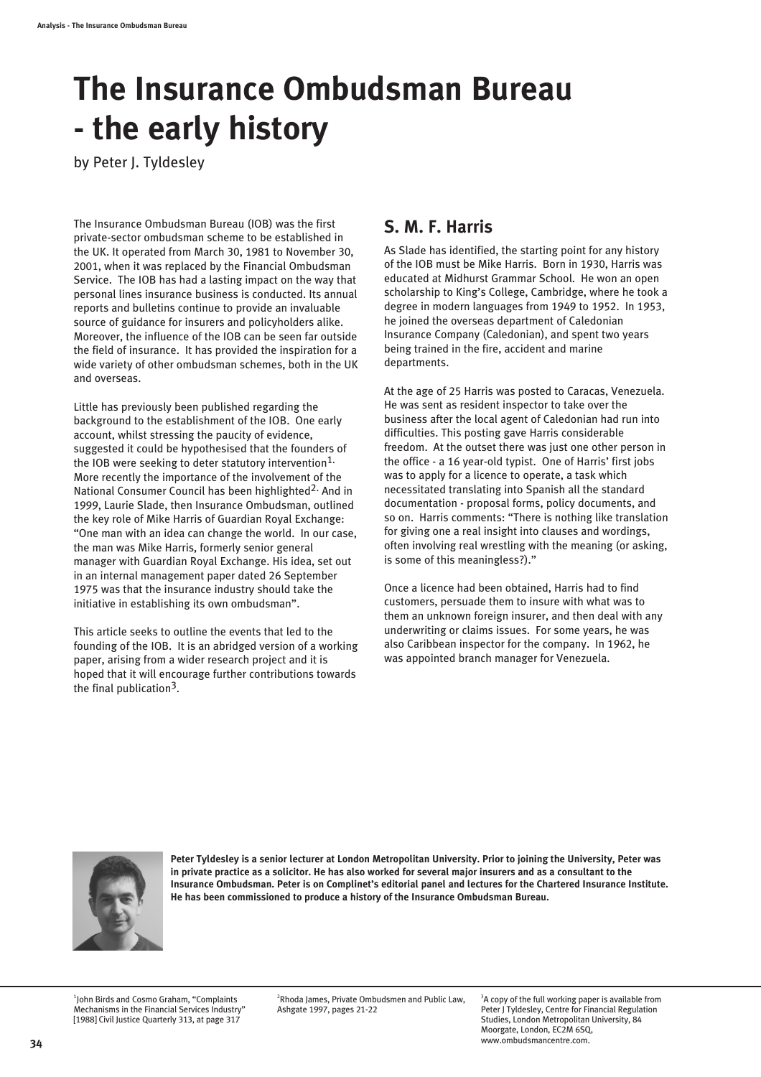# **The Insurance Ombudsman Bureau - the early history**

by Peter J. Tyldesley

The Insurance Ombudsman Bureau (IOB) was the first private-sector ombudsman scheme to be established in the UK. It operated from March 30, 1981 to November 30, 2001, when it was replaced by the Financial Ombudsman Service. The IOB has had a lasting impact on the way that personal lines insurance business is conducted. Its annual reports and bulletins continue to provide an invaluable source of guidance for insurers and policyholders alike. Moreover, the influence of the IOB can be seen far outside the field of insurance. It has provided the inspiration for a wide variety of other ombudsman schemes, both in the UK and overseas.

Little has previously been published regarding the background to the establishment of the IOB. One early account, whilst stressing the paucity of evidence, suggested it could be hypothesised that the founders of the IOB were seeking to deter statutory intervention<sup>1.</sup> More recently the importance of the involvement of the National Consumer Council has been highlighted2. And in 1999, Laurie Slade, then Insurance Ombudsman, outlined the key role of Mike Harris of Guardian Royal Exchange: "One man with an idea can change the world. In our case, the man was Mike Harris, formerly senior general manager with Guardian Royal Exchange. His idea, set out in an internal management paper dated 26 September 1975 was that the insurance industry should take the initiative in establishing its own ombudsman".

This article seeks to outline the events that led to the founding of the IOB. It is an abridged version of a working paper, arising from a wider research project and it is hoped that it will encourage further contributions towards the final publication3.

#### **S. M. F. Harris**

As Slade has identified, the starting point for any history of the IOB must be Mike Harris. Born in 1930, Harris was educated at Midhurst Grammar School. He won an open scholarship to King's College, Cambridge, where he took a degree in modern languages from 1949 to 1952. In 1953, he joined the overseas department of Caledonian Insurance Company (Caledonian), and spent two years being trained in the fire, accident and marine departments.

At the age of 25 Harris was posted to Caracas, Venezuela. He was sent as resident inspector to take over the business after the local agent of Caledonian had run into difficulties. This posting gave Harris considerable freedom. At the outset there was just one other person in the office - a 16 year-old typist. One of Harris' first jobs was to apply for a licence to operate, a task which necessitated translating into Spanish all the standard documentation - proposal forms, policy documents, and so on. Harris comments: "There is nothing like translation for giving one a real insight into clauses and wordings, often involving real wrestling with the meaning (or asking, is some of this meaningless?)."

Once a licence had been obtained, Harris had to find customers, persuade them to insure with what was to them an unknown foreign insurer, and then deal with any underwriting or claims issues. For some years, he was also Caribbean inspector for the company. In 1962, he was appointed branch manager for Venezuela.



**Peter Tyldesley is a senior lecturer at London Metropolitan University. Prior to joining the University, Peter was in private practice as a solicitor. He has also worked for several major insurers and as a consultant to the Insurance Ombudsman. Peter is on Complinet's editorial panel and lectures for the Chartered Insurance Institute. He has been commissioned to produce a history of the Insurance Ombudsman Bureau.**

1 John Birds and Cosmo Graham, "Complaints Mechanisms in the Financial Services Industry" [1988] Civil Justice Quarterly 313, at page 317

2 Rhoda James, Private Ombudsmen and Public Law, Ashgate 1997, pages 21-22

<sup>3</sup>A copy of the full working paper is available from Peter J Tyldesley, Centre for Financial Regulation Studies, London Metropolitan University, 84 Moorgate, London, EC2M 6SQ, www.ombudsmancentre.com.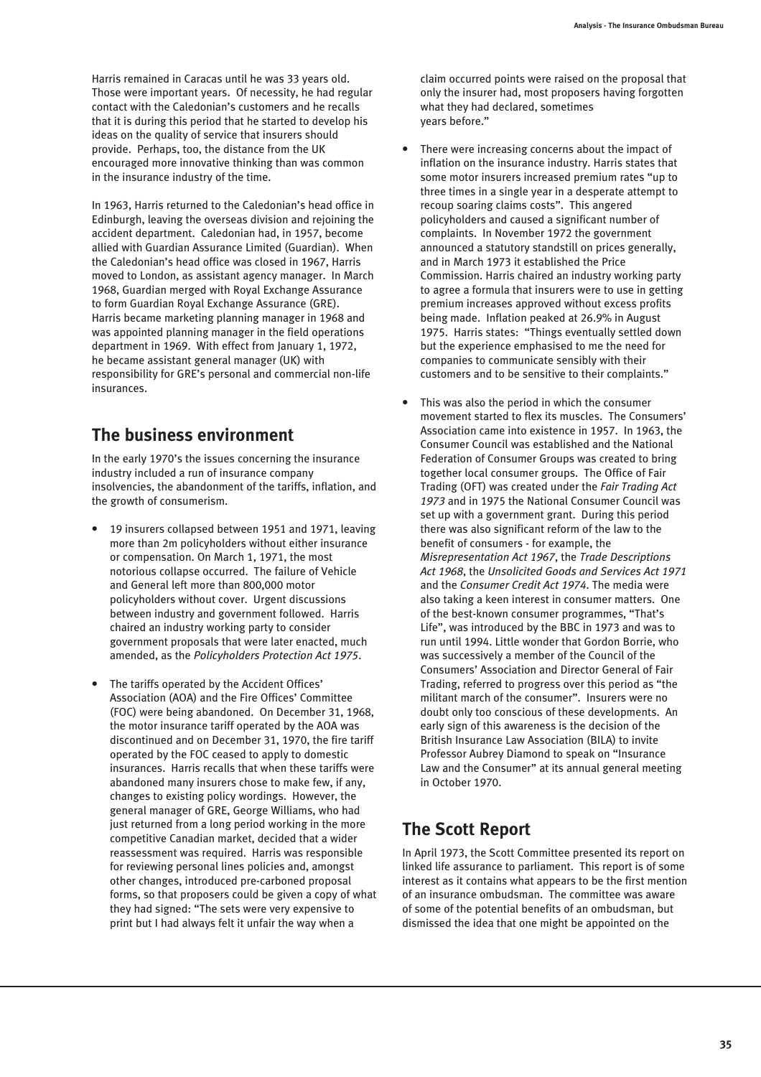Harris remained in Caracas until he was 33 years old. Those were important years. Of necessity, he had regular contact with the Caledonian's customers and he recalls that it is during this period that he started to develop his ideas on the quality of service that insurers should provide. Perhaps, too, the distance from the UK encouraged more innovative thinking than was common in the insurance industry of the time.

In 1963, Harris returned to the Caledonian's head office in Edinburgh, leaving the overseas division and rejoining the accident department. Caledonian had, in 1957, become allied with Guardian Assurance Limited (Guardian). When the Caledonian's head office was closed in 1967, Harris moved to London, as assistant agency manager. In March 1968, Guardian merged with Royal Exchange Assurance to form Guardian Royal Exchange Assurance (GRE). Harris became marketing planning manager in 1968 and was appointed planning manager in the field operations department in 1969. With effect from January 1, 1972, he became assistant general manager (UK) with responsibility for GRE's personal and commercial non-life insurances.

# **The business environment**

In the early 1970's the issues concerning the insurance industry included a run of insurance company insolvencies, the abandonment of the tariffs, inflation, and the growth of consumerism.

- 19 insurers collapsed between 1951 and 1971, leaving more than 2m policyholders without either insurance or compensation. On March 1, 1971, the most notorious collapse occurred. The failure of Vehicle and General left more than 800,000 motor policyholders without cover. Urgent discussions between industry and government followed. Harris chaired an industry working party to consider government proposals that were later enacted, much amended, as the *Policyholders Protection Act 1975*.
- The tariffs operated by the Accident Offices' Association (AOA) and the Fire Offices' Committee (FOC) were being abandoned. On December 31, 1968, the motor insurance tariff operated by the AOA was discontinued and on December 31, 1970, the fire tariff operated by the FOC ceased to apply to domestic insurances. Harris recalls that when these tariffs were abandoned many insurers chose to make few, if any, changes to existing policy wordings. However, the general manager of GRE, George Williams, who had just returned from a long period working in the more competitive Canadian market, decided that a wider reassessment was required. Harris was responsible for reviewing personal lines policies and, amongst other changes, introduced pre-carboned proposal forms, so that proposers could be given a copy of what they had signed: "The sets were very expensive to print but I had always felt it unfair the way when a

claim occurred points were raised on the proposal that only the insurer had, most proposers having forgotten what they had declared, sometimes years before."

- There were increasing concerns about the impact of inflation on the insurance industry. Harris states that some motor insurers increased premium rates "up to three times in a single year in a desperate attempt to recoup soaring claims costs". This angered policyholders and caused a significant number of complaints. In November 1972 the government announced a statutory standstill on prices generally, and in March 1973 it established the Price Commission. Harris chaired an industry working party to agree a formula that insurers were to use in getting premium increases approved without excess profits being made. Inflation peaked at 26.9% in August 1975. Harris states: "Things eventually settled down but the experience emphasised to me the need for companies to communicate sensibly with their customers and to be sensitive to their complaints."
- This was also the period in which the consumer movement started to flex its muscles. The Consumers' Association came into existence in 1957. In 1963, the Consumer Council was established and the National Federation of Consumer Groups was created to bring together local consumer groups. The Office of Fair Trading (OFT) was created under the *Fair Trading Act 1973* and in 1975 the National Consumer Council was set up with a government grant. During this period there was also significant reform of the law to the benefit of consumers - for example, the *Misrepresentation Act 1967*, the *Trade Descriptions Act 1968*, the *Unsolicited Goods and Services Act 1971* and the *Consumer Credit Act 1974*. The media were also taking a keen interest in consumer matters. One of the best-known consumer programmes, "That's Life", was introduced by the BBC in 1973 and was to run until 1994. Little wonder that Gordon Borrie, who was successively a member of the Council of the Consumers' Association and Director General of Fair Trading, referred to progress over this period as "the militant march of the consumer". Insurers were no doubt only too conscious of these developments. An early sign of this awareness is the decision of the British Insurance Law Association (BILA) to invite Professor Aubrey Diamond to speak on "Insurance Law and the Consumer" at its annual general meeting in October 1970.

# **The Scott Report**

In April 1973, the Scott Committee presented its report on linked life assurance to parliament. This report is of some interest as it contains what appears to be the first mention of an insurance ombudsman. The committee was aware of some of the potential benefits of an ombudsman, but dismissed the idea that one might be appointed on the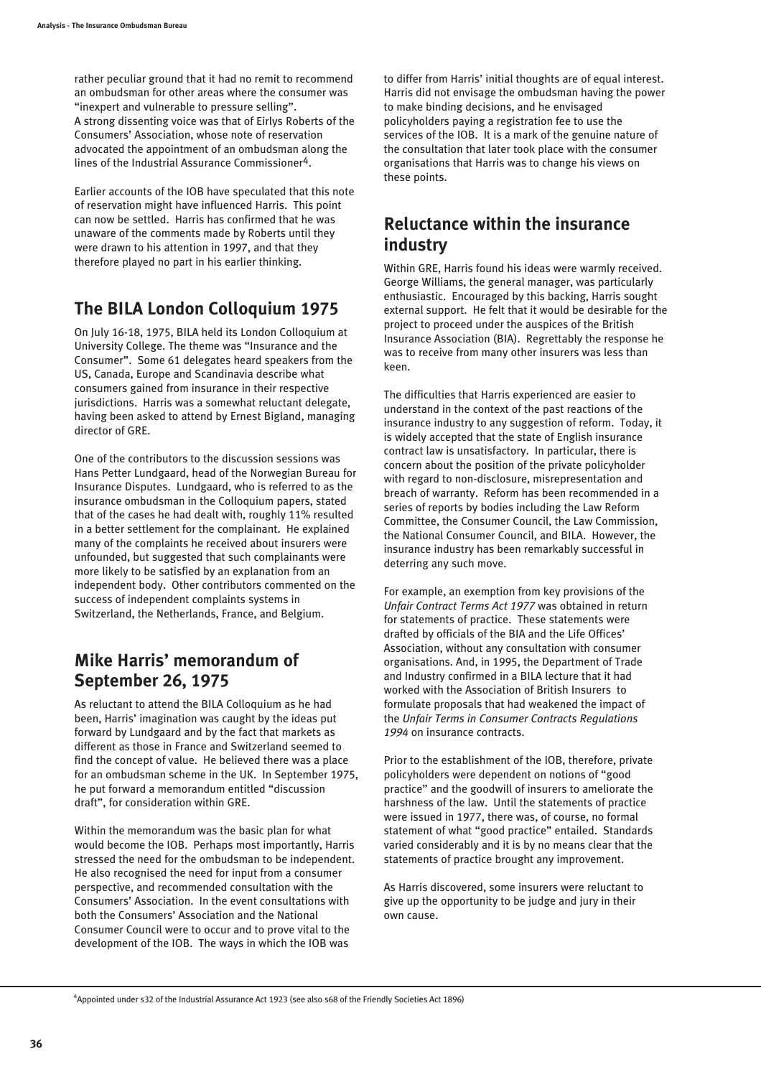rather peculiar ground that it had no remit to recommend an ombudsman for other areas where the consumer was "inexpert and vulnerable to pressure selling". A strong dissenting voice was that of Eirlys Roberts of the Consumers' Association, whose note of reservation advocated the appointment of an ombudsman along the lines of the Industrial Assurance Commissioner<sup>4</sup>.

Earlier accounts of the IOB have speculated that this note of reservation might have influenced Harris. This point can now be settled. Harris has confirmed that he was unaware of the comments made by Roberts until they were drawn to his attention in 1997, and that they therefore played no part in his earlier thinking.

## **The BILA London Colloquium 1975**

On July 16-18, 1975, BILA held its London Colloquium at University College. The theme was "Insurance and the Consumer". Some 61 delegates heard speakers from the US, Canada, Europe and Scandinavia describe what consumers gained from insurance in their respective jurisdictions. Harris was a somewhat reluctant delegate, having been asked to attend by Ernest Bigland, managing director of GRE.

One of the contributors to the discussion sessions was Hans Petter Lundgaard, head of the Norwegian Bureau for Insurance Disputes. Lundgaard, who is referred to as the insurance ombudsman in the Colloquium papers, stated that of the cases he had dealt with, roughly 11% resulted in a better settlement for the complainant. He explained many of the complaints he received about insurers were unfounded, but suggested that such complainants were more likely to be satisfied by an explanation from an independent body. Other contributors commented on the success of independent complaints systems in Switzerland, the Netherlands, France, and Belgium.

#### **Mike Harris' memorandum of September 26, 1975**

As reluctant to attend the BILA Colloquium as he had been, Harris' imagination was caught by the ideas put forward by Lundgaard and by the fact that markets as different as those in France and Switzerland seemed to find the concept of value. He believed there was a place for an ombudsman scheme in the UK. In September 1975, he put forward a memorandum entitled "discussion draft", for consideration within GRE.

Within the memorandum was the basic plan for what would become the IOB. Perhaps most importantly, Harris stressed the need for the ombudsman to be independent. He also recognised the need for input from a consumer perspective, and recommended consultation with the Consumers' Association. In the event consultations with both the Consumers' Association and the National Consumer Council were to occur and to prove vital to the development of the IOB. The ways in which the IOB was

to differ from Harris' initial thoughts are of equal interest. Harris did not envisage the ombudsman having the power to make binding decisions, and he envisaged policyholders paying a registration fee to use the services of the IOB. It is a mark of the genuine nature of the consultation that later took place with the consumer organisations that Harris was to change his views on these points.

#### **Reluctance within the insurance industry**

Within GRE, Harris found his ideas were warmly received. George Williams, the general manager, was particularly enthusiastic. Encouraged by this backing, Harris sought external support. He felt that it would be desirable for the project to proceed under the auspices of the British Insurance Association (BIA). Regrettably the response he was to receive from many other insurers was less than keen.

The difficulties that Harris experienced are easier to understand in the context of the past reactions of the insurance industry to any suggestion of reform. Today, it is widely accepted that the state of English insurance contract law is unsatisfactory. In particular, there is concern about the position of the private policyholder with regard to non-disclosure, misrepresentation and breach of warranty. Reform has been recommended in a series of reports by bodies including the Law Reform Committee, the Consumer Council, the Law Commission, the National Consumer Council, and BILA. However, the insurance industry has been remarkably successful in deterring any such move.

For example, an exemption from key provisions of the *Unfair Contract Terms Act 1977* was obtained in return for statements of practice. These statements were drafted by officials of the BIA and the Life Offices' Association, without any consultation with consumer organisations. And, in 1995, the Department of Trade and Industry confirmed in a BILA lecture that it had worked with the Association of British Insurers to formulate proposals that had weakened the impact of the *Unfair Terms in Consumer Contracts Regulations 1994* on insurance contracts.

Prior to the establishment of the IOB, therefore, private policyholders were dependent on notions of "good practice" and the goodwill of insurers to ameliorate the harshness of the law. Until the statements of practice were issued in 1977, there was, of course, no formal statement of what "good practice" entailed. Standards varied considerably and it is by no means clear that the statements of practice brought any improvement.

As Harris discovered, some insurers were reluctant to give up the opportunity to be judge and jury in their own cause.

<sup>4</sup> Appointed under s32 of the Industrial Assurance Act 1923 (see also s68 of the Friendly Societies Act 1896)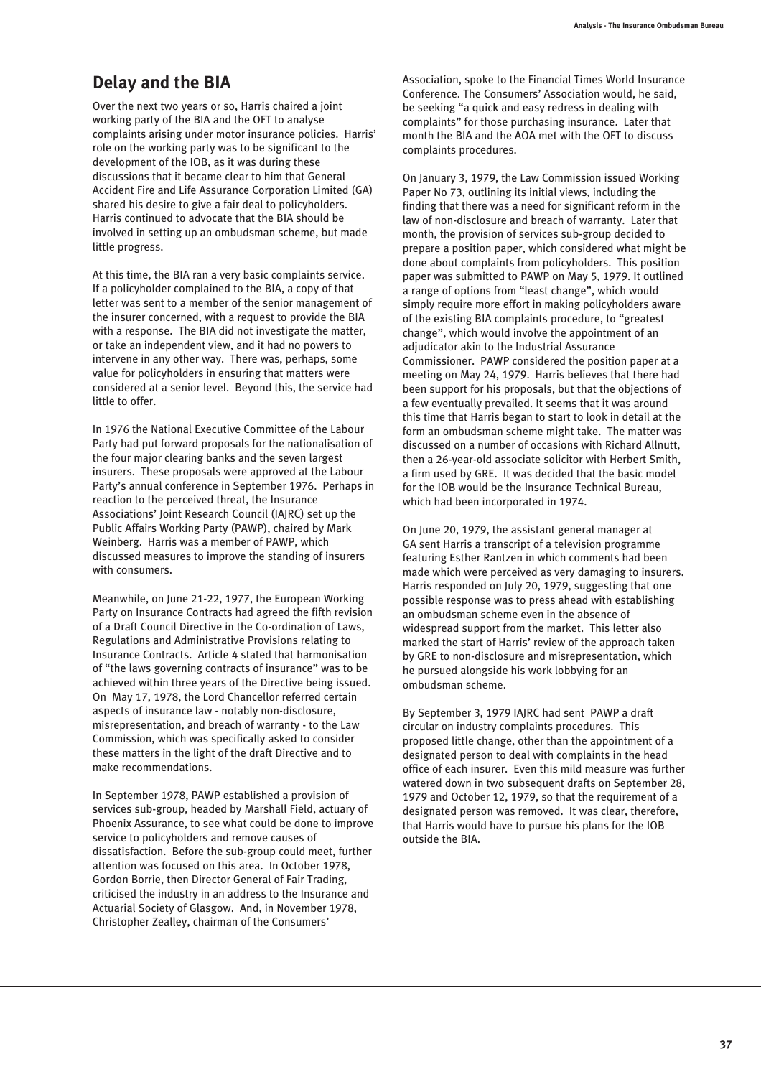# **Delay and the BIA**

Over the next two years or so, Harris chaired a joint working party of the BIA and the OFT to analyse complaints arising under motor insurance policies. Harris' role on the working party was to be significant to the development of the IOB, as it was during these discussions that it became clear to him that General Accident Fire and Life Assurance Corporation Limited (GA) shared his desire to give a fair deal to policyholders. Harris continued to advocate that the BIA should be involved in setting up an ombudsman scheme, but made little progress.

At this time, the BIA ran a very basic complaints service. If a policyholder complained to the BIA, a copy of that letter was sent to a member of the senior management of the insurer concerned, with a request to provide the BIA with a response. The BIA did not investigate the matter, or take an independent view, and it had no powers to intervene in any other way. There was, perhaps, some value for policyholders in ensuring that matters were considered at a senior level. Beyond this, the service had little to offer.

In 1976 the National Executive Committee of the Labour Party had put forward proposals for the nationalisation of the four major clearing banks and the seven largest insurers. These proposals were approved at the Labour Party's annual conference in September 1976. Perhaps in reaction to the perceived threat, the Insurance Associations' Joint Research Council (IAJRC) set up the Public Affairs Working Party (PAWP), chaired by Mark Weinberg. Harris was a member of PAWP, which discussed measures to improve the standing of insurers with consumers.

Meanwhile, on June 21-22, 1977, the European Working Party on Insurance Contracts had agreed the fifth revision of a Draft Council Directive in the Co-ordination of Laws, Regulations and Administrative Provisions relating to Insurance Contracts. Article 4 stated that harmonisation of "the laws governing contracts of insurance" was to be achieved within three years of the Directive being issued. On May 17, 1978, the Lord Chancellor referred certain aspects of insurance law - notably non-disclosure, misrepresentation, and breach of warranty - to the Law Commission, which was specifically asked to consider these matters in the light of the draft Directive and to make recommendations.

In September 1978, PAWP established a provision of services sub-group, headed by Marshall Field, actuary of Phoenix Assurance, to see what could be done to improve service to policyholders and remove causes of dissatisfaction. Before the sub-group could meet, further attention was focused on this area. In October 1978, Gordon Borrie, then Director General of Fair Trading, criticised the industry in an address to the Insurance and Actuarial Society of Glasgow. And, in November 1978, Christopher Zealley, chairman of the Consumers'

Association, spoke to the Financial Times World Insurance Conference. The Consumers' Association would, he said, be seeking "a quick and easy redress in dealing with complaints" for those purchasing insurance. Later that month the BIA and the AOA met with the OFT to discuss complaints procedures.

On January 3, 1979, the Law Commission issued Working Paper No 73, outlining its initial views, including the finding that there was a need for significant reform in the law of non-disclosure and breach of warranty. Later that month, the provision of services sub-group decided to prepare a position paper, which considered what might be done about complaints from policyholders. This position paper was submitted to PAWP on May 5, 1979. It outlined a range of options from "least change", which would simply require more effort in making policyholders aware of the existing BIA complaints procedure, to "greatest change", which would involve the appointment of an adjudicator akin to the Industrial Assurance Commissioner. PAWP considered the position paper at a meeting on May 24, 1979. Harris believes that there had been support for his proposals, but that the objections of a few eventually prevailed. It seems that it was around this time that Harris began to start to look in detail at the form an ombudsman scheme might take. The matter was discussed on a number of occasions with Richard Allnutt, then a 26-year-old associate solicitor with Herbert Smith, a firm used by GRE. It was decided that the basic model for the IOB would be the Insurance Technical Bureau, which had been incorporated in 1974.

On June 20, 1979, the assistant general manager at GA sent Harris a transcript of a television programme featuring Esther Rantzen in which comments had been made which were perceived as very damaging to insurers. Harris responded on July 20, 1979, suggesting that one possible response was to press ahead with establishing an ombudsman scheme even in the absence of widespread support from the market. This letter also marked the start of Harris' review of the approach taken by GRE to non-disclosure and misrepresentation, which he pursued alongside his work lobbying for an ombudsman scheme.

By September 3, 1979 IAJRC had sent PAWP a draft circular on industry complaints procedures. This proposed little change, other than the appointment of a designated person to deal with complaints in the head office of each insurer. Even this mild measure was further watered down in two subsequent drafts on September 28, 1979 and October 12, 1979, so that the requirement of a designated person was removed. It was clear, therefore, that Harris would have to pursue his plans for the IOB outside the BIA.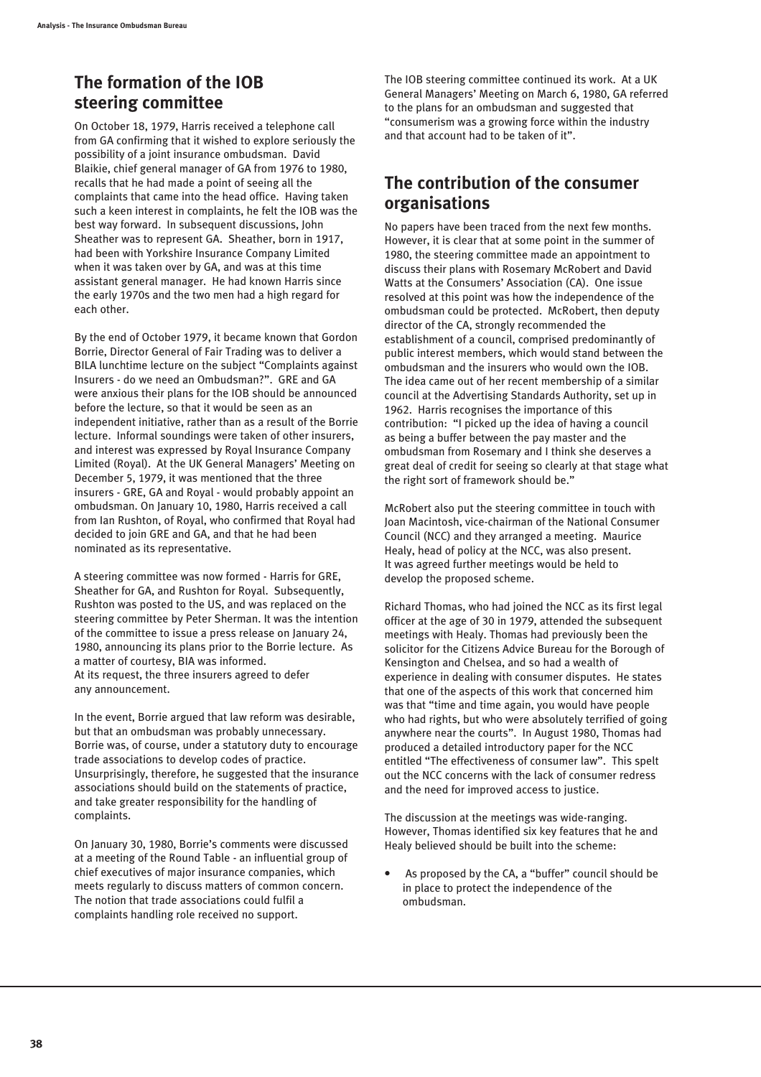# **The formation of the IOB steering committee**

On October 18, 1979, Harris received a telephone call from GA confirming that it wished to explore seriously the possibility of a joint insurance ombudsman. David Blaikie, chief general manager of GA from 1976 to 1980, recalls that he had made a point of seeing all the complaints that came into the head office. Having taken such a keen interest in complaints, he felt the IOB was the best way forward. In subsequent discussions, John Sheather was to represent GA. Sheather, born in 1917, had been with Yorkshire Insurance Company Limited when it was taken over by GA, and was at this time assistant general manager. He had known Harris since the early 1970s and the two men had a high regard for each other.

By the end of October 1979, it became known that Gordon Borrie, Director General of Fair Trading was to deliver a BILA lunchtime lecture on the subject "Complaints against Insurers - do we need an Ombudsman?". GRE and GA were anxious their plans for the IOB should be announced before the lecture, so that it would be seen as an independent initiative, rather than as a result of the Borrie lecture. Informal soundings were taken of other insurers, and interest was expressed by Royal Insurance Company Limited (Royal). At the UK General Managers' Meeting on December 5, 1979, it was mentioned that the three insurers - GRE, GA and Royal - would probably appoint an ombudsman. On January 10, 1980, Harris received a call from Ian Rushton, of Royal, who confirmed that Royal had decided to join GRE and GA, and that he had been nominated as its representative.

A steering committee was now formed - Harris for GRE, Sheather for GA, and Rushton for Royal. Subsequently, Rushton was posted to the US, and was replaced on the steering committee by Peter Sherman. It was the intention of the committee to issue a press release on January 24, 1980, announcing its plans prior to the Borrie lecture. As a matter of courtesy, BIA was informed. At its request, the three insurers agreed to defer any announcement.

In the event, Borrie argued that law reform was desirable, but that an ombudsman was probably unnecessary. Borrie was, of course, under a statutory duty to encourage trade associations to develop codes of practice. Unsurprisingly, therefore, he suggested that the insurance associations should build on the statements of practice, and take greater responsibility for the handling of complaints.

On January 30, 1980, Borrie's comments were discussed at a meeting of the Round Table - an influential group of chief executives of major insurance companies, which meets regularly to discuss matters of common concern. The notion that trade associations could fulfil a complaints handling role received no support.

The IOB steering committee continued its work. At a UK General Managers' Meeting on March 6, 1980, GA referred to the plans for an ombudsman and suggested that "consumerism was a growing force within the industry and that account had to be taken of it".

#### **The contribution of the consumer organisations**

No papers have been traced from the next few months. However, it is clear that at some point in the summer of 1980, the steering committee made an appointment to discuss their plans with Rosemary McRobert and David Watts at the Consumers' Association (CA). One issue resolved at this point was how the independence of the ombudsman could be protected. McRobert, then deputy director of the CA, strongly recommended the establishment of a council, comprised predominantly of public interest members, which would stand between the ombudsman and the insurers who would own the IOB. The idea came out of her recent membership of a similar council at the Advertising Standards Authority, set up in 1962. Harris recognises the importance of this contribution: "I picked up the idea of having a council as being a buffer between the pay master and the ombudsman from Rosemary and I think she deserves a great deal of credit for seeing so clearly at that stage what the right sort of framework should be."

McRobert also put the steering committee in touch with Joan Macintosh, vice-chairman of the National Consumer Council (NCC) and they arranged a meeting. Maurice Healy, head of policy at the NCC, was also present. It was agreed further meetings would be held to develop the proposed scheme.

Richard Thomas, who had joined the NCC as its first legal officer at the age of 30 in 1979, attended the subsequent meetings with Healy. Thomas had previously been the solicitor for the Citizens Advice Bureau for the Borough of Kensington and Chelsea, and so had a wealth of experience in dealing with consumer disputes. He states that one of the aspects of this work that concerned him was that "time and time again, you would have people who had rights, but who were absolutely terrified of going anywhere near the courts". In August 1980, Thomas had produced a detailed introductory paper for the NCC entitled "The effectiveness of consumer law". This spelt out the NCC concerns with the lack of consumer redress and the need for improved access to justice.

The discussion at the meetings was wide-ranging. However, Thomas identified six key features that he and Healy believed should be built into the scheme:

 As proposed by the CA, a "buffer" council should be in place to protect the independence of the ombudsman.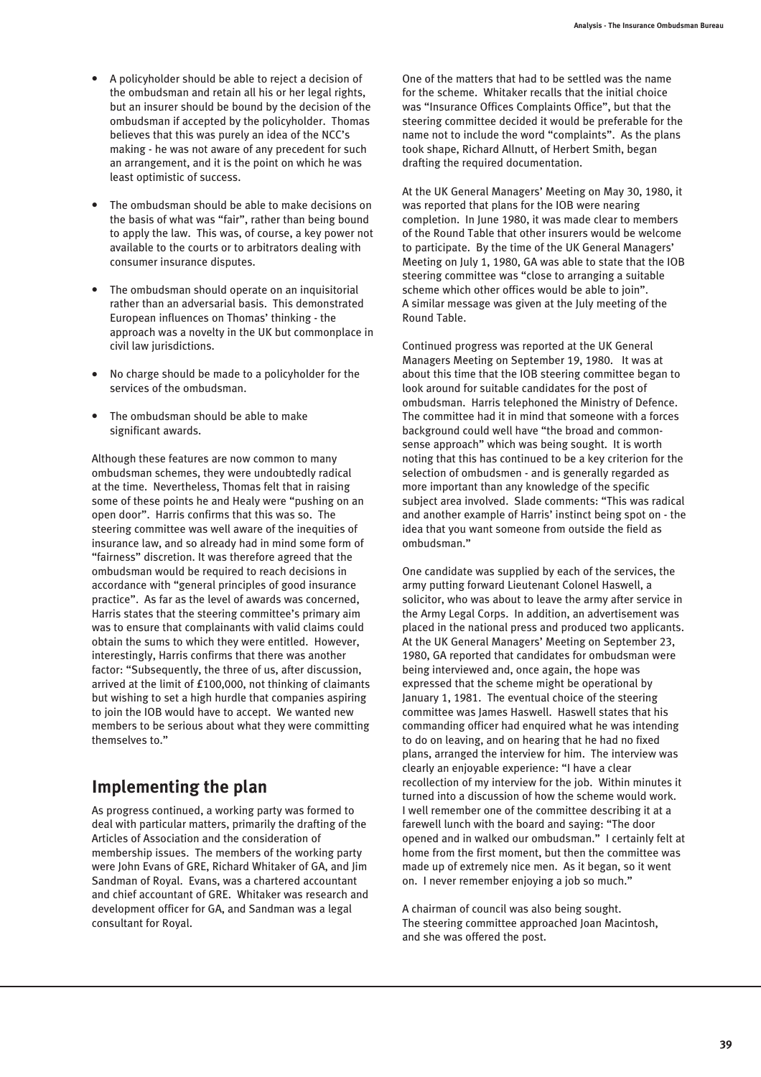- A policyholder should be able to reject a decision of the ombudsman and retain all his or her legal rights, but an insurer should be bound by the decision of the ombudsman if accepted by the policyholder. Thomas believes that this was purely an idea of the NCC's making - he was not aware of any precedent for such an arrangement, and it is the point on which he was least optimistic of success.
- The ombudsman should be able to make decisions on the basis of what was "fair", rather than being bound to apply the law. This was, of course, a key power not available to the courts or to arbitrators dealing with consumer insurance disputes.
- The ombudsman should operate on an inquisitorial rather than an adversarial basis. This demonstrated European influences on Thomas' thinking - the approach was a novelty in the UK but commonplace in civil law jurisdictions.
- No charge should be made to a policyholder for the services of the ombudsman.
- The ombudsman should be able to make significant awards.

Although these features are now common to many ombudsman schemes, they were undoubtedly radical at the time. Nevertheless, Thomas felt that in raising some of these points he and Healy were "pushing on an open door". Harris confirms that this was so. The steering committee was well aware of the inequities of insurance law, and so already had in mind some form of "fairness" discretion. It was therefore agreed that the ombudsman would be required to reach decisions in accordance with "general principles of good insurance practice". As far as the level of awards was concerned, Harris states that the steering committee's primary aim was to ensure that complainants with valid claims could obtain the sums to which they were entitled. However, interestingly, Harris confirms that there was another factor: "Subsequently, the three of us, after discussion, arrived at the limit of £100,000, not thinking of claimants but wishing to set a high hurdle that companies aspiring to join the IOB would have to accept. We wanted new members to be serious about what they were committing themselves to."

# **Implementing the plan**

As progress continued, a working party was formed to deal with particular matters, primarily the drafting of the Articles of Association and the consideration of membership issues. The members of the working party were John Evans of GRE, Richard Whitaker of GA, and Jim Sandman of Royal. Evans, was a chartered accountant and chief accountant of GRE. Whitaker was research and development officer for GA, and Sandman was a legal consultant for Royal.

One of the matters that had to be settled was the name for the scheme. Whitaker recalls that the initial choice was "Insurance Offices Complaints Office", but that the steering committee decided it would be preferable for the name not to include the word "complaints". As the plans took shape, Richard Allnutt, of Herbert Smith, began drafting the required documentation.

At the UK General Managers' Meeting on May 30, 1980, it was reported that plans for the IOB were nearing completion. In June 1980, it was made clear to members of the Round Table that other insurers would be welcome to participate. By the time of the UK General Managers' Meeting on July 1, 1980, GA was able to state that the IOB steering committee was "close to arranging a suitable scheme which other offices would be able to join". A similar message was given at the July meeting of the Round Table.

Continued progress was reported at the UK General Managers Meeting on September 19, 1980. It was at about this time that the IOB steering committee began to look around for suitable candidates for the post of ombudsman. Harris telephoned the Ministry of Defence. The committee had it in mind that someone with a forces background could well have "the broad and commonsense approach" which was being sought. It is worth noting that this has continued to be a key criterion for the selection of ombudsmen - and is generally regarded as more important than any knowledge of the specific subject area involved. Slade comments: "This was radical and another example of Harris' instinct being spot on - the idea that you want someone from outside the field as ombudsman."

One candidate was supplied by each of the services, the army putting forward Lieutenant Colonel Haswell, a solicitor, who was about to leave the army after service in the Army Legal Corps. In addition, an advertisement was placed in the national press and produced two applicants. At the UK General Managers' Meeting on September 23, 1980, GA reported that candidates for ombudsman were being interviewed and, once again, the hope was expressed that the scheme might be operational by January 1, 1981. The eventual choice of the steering committee was James Haswell. Haswell states that his commanding officer had enquired what he was intending to do on leaving, and on hearing that he had no fixed plans, arranged the interview for him. The interview was clearly an enjoyable experience: "I have a clear recollection of my interview for the job. Within minutes it turned into a discussion of how the scheme would work. I well remember one of the committee describing it at a farewell lunch with the board and saying: "The door opened and in walked our ombudsman." I certainly felt at home from the first moment, but then the committee was made up of extremely nice men. As it began, so it went on. I never remember enjoying a job so much."

A chairman of council was also being sought. The steering committee approached Joan Macintosh, and she was offered the post.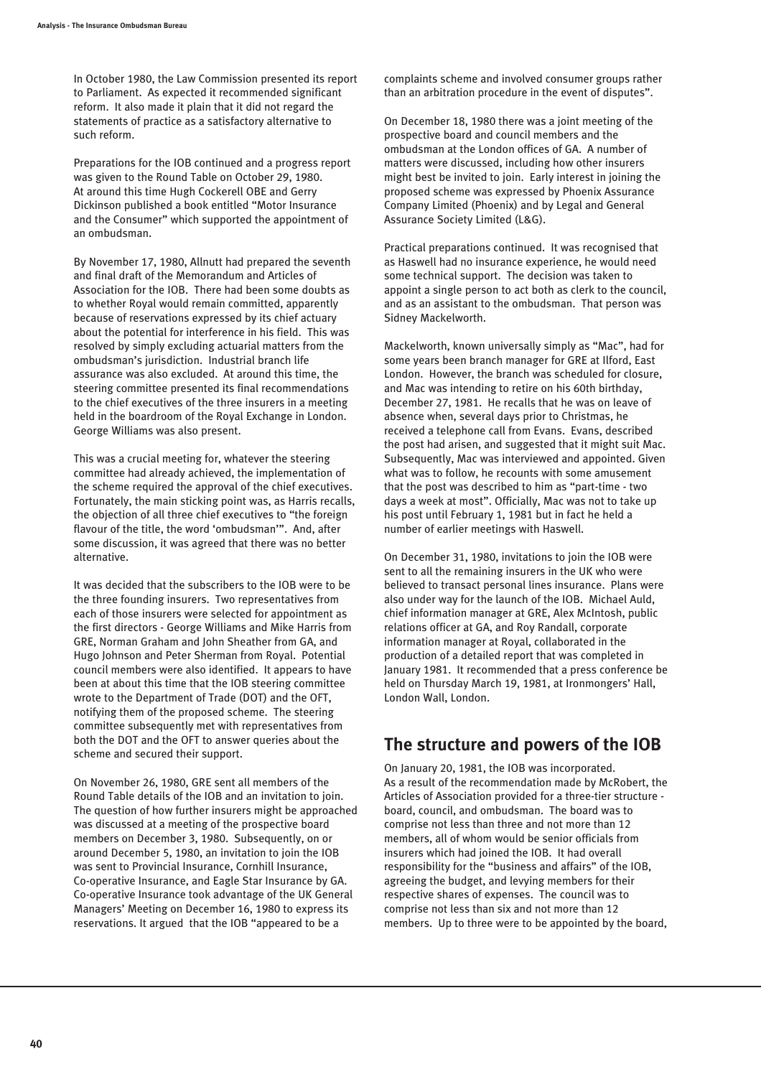In October 1980, the Law Commission presented its report to Parliament. As expected it recommended significant reform. It also made it plain that it did not regard the statements of practice as a satisfactory alternative to such reform.

Preparations for the IOB continued and a progress report was given to the Round Table on October 29, 1980. At around this time Hugh Cockerell OBE and Gerry Dickinson published a book entitled "Motor Insurance and the Consumer" which supported the appointment of an ombudsman.

By November 17, 1980, Allnutt had prepared the seventh and final draft of the Memorandum and Articles of Association for the IOB. There had been some doubts as to whether Royal would remain committed, apparently because of reservations expressed by its chief actuary about the potential for interference in his field. This was resolved by simply excluding actuarial matters from the ombudsman's jurisdiction. Industrial branch life assurance was also excluded. At around this time, the steering committee presented its final recommendations to the chief executives of the three insurers in a meeting held in the boardroom of the Royal Exchange in London. George Williams was also present.

This was a crucial meeting for, whatever the steering committee had already achieved, the implementation of the scheme required the approval of the chief executives. Fortunately, the main sticking point was, as Harris recalls, the objection of all three chief executives to "the foreign flavour of the title, the word 'ombudsman'". And, after some discussion, it was agreed that there was no better alternative.

It was decided that the subscribers to the IOB were to be the three founding insurers. Two representatives from each of those insurers were selected for appointment as the first directors - George Williams and Mike Harris from GRE, Norman Graham and John Sheather from GA, and Hugo Johnson and Peter Sherman from Royal. Potential council members were also identified. It appears to have been at about this time that the IOB steering committee wrote to the Department of Trade (DOT) and the OFT, notifying them of the proposed scheme. The steering committee subsequently met with representatives from both the DOT and the OFT to answer queries about the scheme and secured their support.

On November 26, 1980, GRE sent all members of the Round Table details of the IOB and an invitation to join. The question of how further insurers might be approached was discussed at a meeting of the prospective board members on December 3, 1980. Subsequently, on or around December 5, 1980, an invitation to join the IOB was sent to Provincial Insurance, Cornhill Insurance, Co-operative Insurance, and Eagle Star Insurance by GA. Co-operative Insurance took advantage of the UK General Managers' Meeting on December 16, 1980 to express its reservations. It argued that the IOB "appeared to be a

complaints scheme and involved consumer groups rather than an arbitration procedure in the event of disputes".

On December 18, 1980 there was a joint meeting of the prospective board and council members and the ombudsman at the London offices of GA. A number of matters were discussed, including how other insurers might best be invited to join. Early interest in joining the proposed scheme was expressed by Phoenix Assurance Company Limited (Phoenix) and by Legal and General Assurance Society Limited (L&G).

Practical preparations continued. It was recognised that as Haswell had no insurance experience, he would need some technical support. The decision was taken to appoint a single person to act both as clerk to the council, and as an assistant to the ombudsman. That person was Sidney Mackelworth.

Mackelworth, known universally simply as "Mac", had for some years been branch manager for GRE at Ilford, East London. However, the branch was scheduled for closure, and Mac was intending to retire on his 60th birthday, December 27, 1981. He recalls that he was on leave of absence when, several days prior to Christmas, he received a telephone call from Evans. Evans, described the post had arisen, and suggested that it might suit Mac. Subsequently, Mac was interviewed and appointed. Given what was to follow, he recounts with some amusement that the post was described to him as "part-time - two days a week at most". Officially, Mac was not to take up his post until February 1, 1981 but in fact he held a number of earlier meetings with Haswell.

On December 31, 1980, invitations to join the IOB were sent to all the remaining insurers in the UK who were believed to transact personal lines insurance. Plans were also under way for the launch of the IOB. Michael Auld, chief information manager at GRE, Alex McIntosh, public relations officer at GA, and Roy Randall, corporate information manager at Royal, collaborated in the production of a detailed report that was completed in January 1981. It recommended that a press conference be held on Thursday March 19, 1981, at Ironmongers' Hall, London Wall, London.

## **The structure and powers of the IOB**

On January 20, 1981, the IOB was incorporated. As a result of the recommendation made by McRobert, the Articles of Association provided for a three-tier structure board, council, and ombudsman. The board was to comprise not less than three and not more than 12 members, all of whom would be senior officials from insurers which had joined the IOB. It had overall responsibility for the "business and affairs" of the IOB, agreeing the budget, and levying members for their respective shares of expenses. The council was to comprise not less than six and not more than 12 members. Up to three were to be appointed by the board,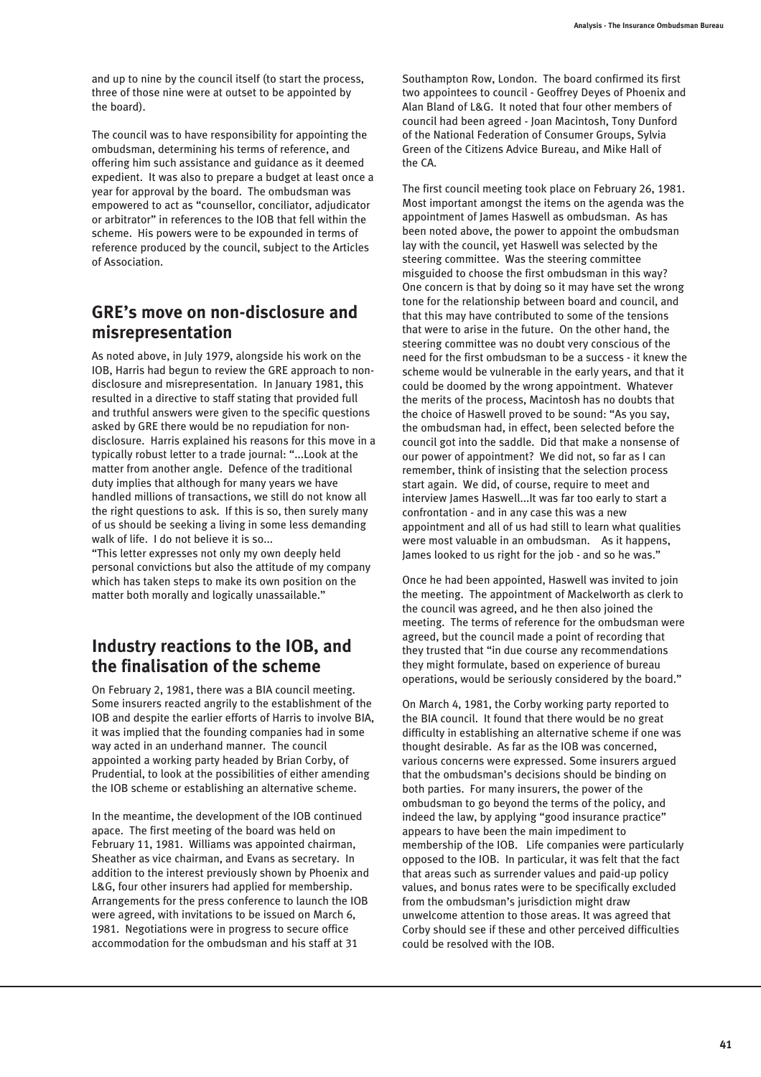and up to nine by the council itself (to start the process, three of those nine were at outset to be appointed by the board).

The council was to have responsibility for appointing the ombudsman, determining his terms of reference, and offering him such assistance and guidance as it deemed expedient. It was also to prepare a budget at least once a year for approval by the board. The ombudsman was empowered to act as "counsellor, conciliator, adjudicator or arbitrator" in references to the IOB that fell within the scheme. His powers were to be expounded in terms of reference produced by the council, subject to the Articles of Association.

#### **GRE's move on non-disclosure and misrepresentation**

As noted above, in July 1979, alongside his work on the IOB, Harris had begun to review the GRE approach to nondisclosure and misrepresentation. In January 1981, this resulted in a directive to staff stating that provided full and truthful answers were given to the specific questions asked by GRE there would be no repudiation for nondisclosure. Harris explained his reasons for this move in a typically robust letter to a trade journal: "...Look at the matter from another angle. Defence of the traditional duty implies that although for many years we have handled millions of transactions, we still do not know all the right questions to ask. If this is so, then surely many of us should be seeking a living in some less demanding walk of life. I do not believe it is so...

"This letter expresses not only my own deeply held personal convictions but also the attitude of my company which has taken steps to make its own position on the matter both morally and logically unassailable."

#### **Industry reactions to the IOB, and the finalisation of the scheme**

On February 2, 1981, there was a BIA council meeting. Some insurers reacted angrily to the establishment of the IOB and despite the earlier efforts of Harris to involve BIA, it was implied that the founding companies had in some way acted in an underhand manner. The council appointed a working party headed by Brian Corby, of Prudential, to look at the possibilities of either amending the IOB scheme or establishing an alternative scheme.

In the meantime, the development of the IOB continued apace. The first meeting of the board was held on February 11, 1981. Williams was appointed chairman, Sheather as vice chairman, and Evans as secretary. In addition to the interest previously shown by Phoenix and L&G, four other insurers had applied for membership. Arrangements for the press conference to launch the IOB were agreed, with invitations to be issued on March 6, 1981. Negotiations were in progress to secure office accommodation for the ombudsman and his staff at 31

Southampton Row, London. The board confirmed its first two appointees to council - Geoffrey Deyes of Phoenix and Alan Bland of L&G. It noted that four other members of council had been agreed - Joan Macintosh, Tony Dunford of the National Federation of Consumer Groups, Sylvia Green of the Citizens Advice Bureau, and Mike Hall of the CA.

The first council meeting took place on February 26, 1981. Most important amongst the items on the agenda was the appointment of James Haswell as ombudsman. As has been noted above, the power to appoint the ombudsman lay with the council, yet Haswell was selected by the steering committee. Was the steering committee misguided to choose the first ombudsman in this way? One concern is that by doing so it may have set the wrong tone for the relationship between board and council, and that this may have contributed to some of the tensions that were to arise in the future. On the other hand, the steering committee was no doubt very conscious of the need for the first ombudsman to be a success - it knew the scheme would be vulnerable in the early years, and that it could be doomed by the wrong appointment. Whatever the merits of the process, Macintosh has no doubts that the choice of Haswell proved to be sound: "As you say, the ombudsman had, in effect, been selected before the council got into the saddle. Did that make a nonsense of our power of appointment? We did not, so far as I can remember, think of insisting that the selection process start again. We did, of course, require to meet and interview James Haswell...It was far too early to start a confrontation - and in any case this was a new appointment and all of us had still to learn what qualities were most valuable in an ombudsman. As it happens, James looked to us right for the job - and so he was."

Once he had been appointed, Haswell was invited to join the meeting. The appointment of Mackelworth as clerk to the council was agreed, and he then also joined the meeting. The terms of reference for the ombudsman were agreed, but the council made a point of recording that they trusted that "in due course any recommendations they might formulate, based on experience of bureau operations, would be seriously considered by the board."

On March 4, 1981, the Corby working party reported to the BIA council. It found that there would be no great difficulty in establishing an alternative scheme if one was thought desirable. As far as the IOB was concerned, various concerns were expressed. Some insurers argued that the ombudsman's decisions should be binding on both parties. For many insurers, the power of the ombudsman to go beyond the terms of the policy, and indeed the law, by applying "good insurance practice" appears to have been the main impediment to membership of the IOB. Life companies were particularly opposed to the IOB. In particular, it was felt that the fact that areas such as surrender values and paid-up policy values, and bonus rates were to be specifically excluded from the ombudsman's jurisdiction might draw unwelcome attention to those areas. It was agreed that Corby should see if these and other perceived difficulties could be resolved with the IOB.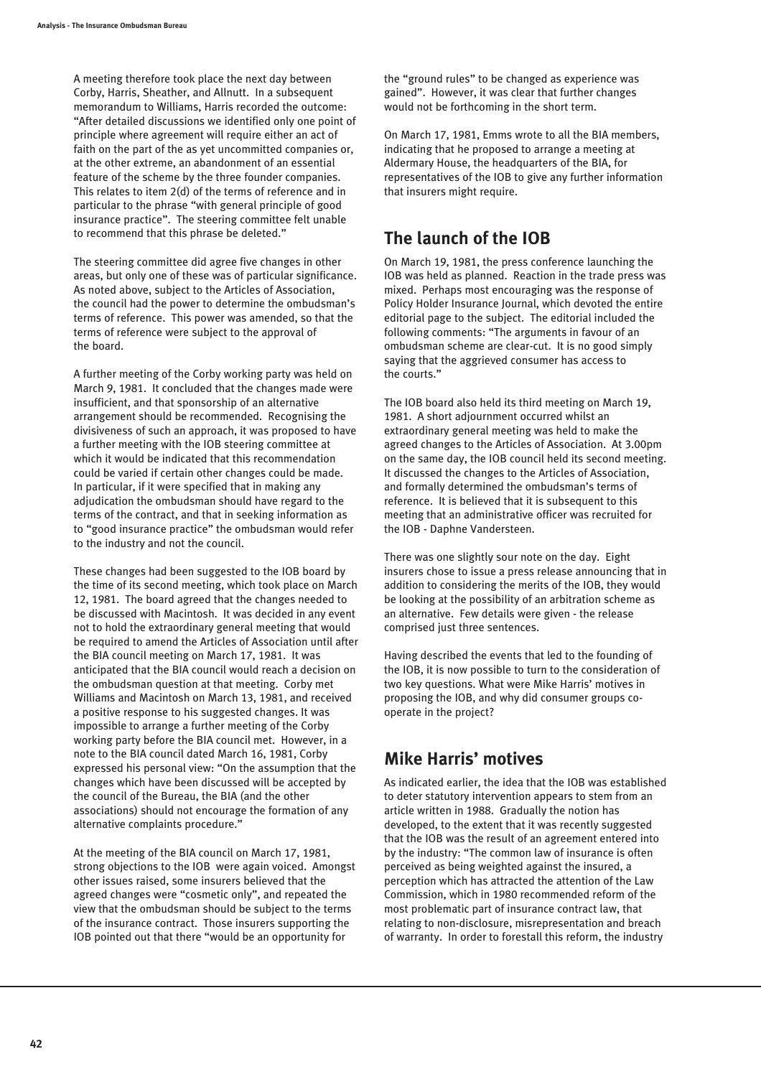A meeting therefore took place the next day between Corby, Harris, Sheather, and Allnutt. In a subsequent memorandum to Williams, Harris recorded the outcome: "After detailed discussions we identified only one point of principle where agreement will require either an act of faith on the part of the as yet uncommitted companies or, at the other extreme, an abandonment of an essential feature of the scheme by the three founder companies. This relates to item 2(d) of the terms of reference and in particular to the phrase "with general principle of good insurance practice". The steering committee felt unable to recommend that this phrase be deleted."

The steering committee did agree five changes in other areas, but only one of these was of particular significance. As noted above, subject to the Articles of Association, the council had the power to determine the ombudsman's terms of reference. This power was amended, so that the terms of reference were subject to the approval of the board.

A further meeting of the Corby working party was held on March 9, 1981. It concluded that the changes made were insufficient, and that sponsorship of an alternative arrangement should be recommended. Recognising the divisiveness of such an approach, it was proposed to have a further meeting with the IOB steering committee at which it would be indicated that this recommendation could be varied if certain other changes could be made. In particular, if it were specified that in making any adjudication the ombudsman should have regard to the terms of the contract, and that in seeking information as to "good insurance practice" the ombudsman would refer to the industry and not the council.

These changes had been suggested to the IOB board by the time of its second meeting, which took place on March 12, 1981. The board agreed that the changes needed to be discussed with Macintosh. It was decided in any event not to hold the extraordinary general meeting that would be required to amend the Articles of Association until after the BIA council meeting on March 17, 1981. It was anticipated that the BIA council would reach a decision on the ombudsman question at that meeting. Corby met Williams and Macintosh on March 13, 1981, and received a positive response to his suggested changes. It was impossible to arrange a further meeting of the Corby working party before the BIA council met. However, in a note to the BIA council dated March 16, 1981, Corby expressed his personal view: "On the assumption that the changes which have been discussed will be accepted by the council of the Bureau, the BIA (and the other associations) should not encourage the formation of any alternative complaints procedure."

At the meeting of the BIA council on March 17, 1981, strong objections to the IOB were again voiced. Amongst other issues raised, some insurers believed that the agreed changes were "cosmetic only", and repeated the view that the ombudsman should be subject to the terms of the insurance contract. Those insurers supporting the IOB pointed out that there "would be an opportunity for

the "ground rules" to be changed as experience was gained". However, it was clear that further changes would not be forthcoming in the short term.

On March 17, 1981, Emms wrote to all the BIA members, indicating that he proposed to arrange a meeting at Aldermary House, the headquarters of the BIA, for representatives of the IOB to give any further information that insurers might require.

## **The launch of the IOB**

On March 19, 1981, the press conference launching the IOB was held as planned. Reaction in the trade press was mixed. Perhaps most encouraging was the response of Policy Holder Insurance Journal, which devoted the entire editorial page to the subject. The editorial included the following comments: "The arguments in favour of an ombudsman scheme are clear-cut. It is no good simply saying that the aggrieved consumer has access to the courts."

The IOB board also held its third meeting on March 19, 1981. A short adjournment occurred whilst an extraordinary general meeting was held to make the agreed changes to the Articles of Association. At 3.00pm on the same day, the IOB council held its second meeting. It discussed the changes to the Articles of Association, and formally determined the ombudsman's terms of reference. It is believed that it is subsequent to this meeting that an administrative officer was recruited for the IOB - Daphne Vandersteen.

There was one slightly sour note on the day. Eight insurers chose to issue a press release announcing that in addition to considering the merits of the IOB, they would be looking at the possibility of an arbitration scheme as an alternative. Few details were given - the release comprised just three sentences.

Having described the events that led to the founding of the IOB, it is now possible to turn to the consideration of two key questions. What were Mike Harris' motives in proposing the IOB, and why did consumer groups cooperate in the project?

## **Mike Harris' motives**

As indicated earlier, the idea that the IOB was established to deter statutory intervention appears to stem from an article written in 1988. Gradually the notion has developed, to the extent that it was recently suggested that the IOB was the result of an agreement entered into by the industry: "The common law of insurance is often perceived as being weighted against the insured, a perception which has attracted the attention of the Law Commission, which in 1980 recommended reform of the most problematic part of insurance contract law, that relating to non-disclosure, misrepresentation and breach of warranty. In order to forestall this reform, the industry